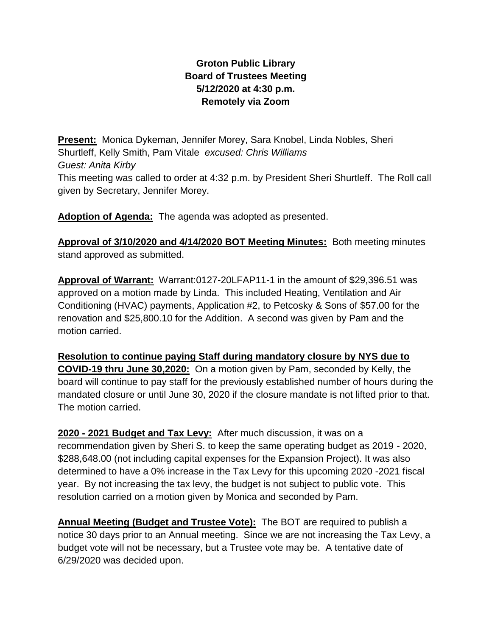## **Groton Public Library Board of Trustees Meeting 5/12/2020 at 4:30 p.m. Remotely via Zoom**

**Present:** Monica Dykeman, Jennifer Morey, Sara Knobel, Linda Nobles, Sheri Shurtleff, Kelly Smith, Pam Vitale *excused: Chris Williams Guest: Anita Kirby* This meeting was called to order at 4:32 p.m. by President Sheri Shurtleff. The Roll call given by Secretary, Jennifer Morey.

**Adoption of Agenda:** The agenda was adopted as presented.

**Approval of 3/10/2020 and 4/14/2020 BOT Meeting Minutes:** Both meeting minutes stand approved as submitted.

**Approval of Warrant:** Warrant:0127-20LFAP11-1 in the amount of \$29,396.51 was approved on a motion made by Linda. This included Heating, Ventilation and Air Conditioning (HVAC) payments, Application #2, to Petcosky & Sons of \$57.00 for the renovation and \$25,800.10 for the Addition. A second was given by Pam and the motion carried.

**Resolution to continue paying Staff during mandatory closure by NYS due to COVID-19 thru June 30,2020:** On a motion given by Pam, seconded by Kelly, the board will continue to pay staff for the previously established number of hours during the mandated closure or until June 30, 2020 if the closure mandate is not lifted prior to that. The motion carried.

**2020 - 2021 Budget and Tax Levy:** After much discussion, it was on a recommendation given by Sheri S. to keep the same operating budget as 2019 - 2020, \$288,648.00 (not including capital expenses for the Expansion Project). It was also determined to have a 0% increase in the Tax Levy for this upcoming 2020 -2021 fiscal year. By not increasing the tax levy, the budget is not subject to public vote. This resolution carried on a motion given by Monica and seconded by Pam.

**Annual Meeting (Budget and Trustee Vote):** The BOT are required to publish a notice 30 days prior to an Annual meeting. Since we are not increasing the Tax Levy, a budget vote will not be necessary, but a Trustee vote may be. A tentative date of 6/29/2020 was decided upon.